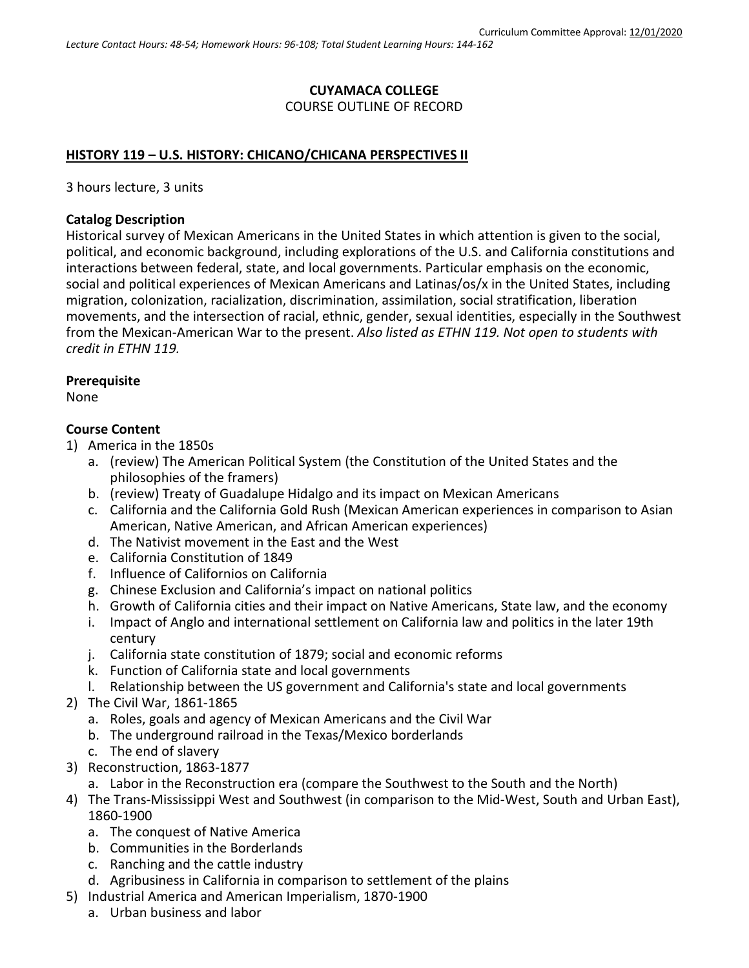## **CUYAMACA COLLEGE** COURSE OUTLINE OF RECORD

### **HISTORY 119 – U.S. HISTORY: CHICANO/CHICANA PERSPECTIVES II**

3 hours lecture, 3 units

### **Catalog Description**

Historical survey of Mexican Americans in the United States in which attention is given to the social, political, and economic background, including explorations of the U.S. and California constitutions and interactions between federal, state, and local governments. Particular emphasis on the economic, social and political experiences of Mexican Americans and Latinas/os/x in the United States, including migration, colonization, racialization, discrimination, assimilation, social stratification, liberation movements, and the intersection of racial, ethnic, gender, sexual identities, especially in the Southwest from the Mexican-American War to the present. *Also listed as ETHN 119. Not open to students with credit in ETHN 119.*

#### **Prerequisite**

None

### **Course Content**

- 1) America in the 1850s
	- a. (review) The American Political System (the Constitution of the United States and the philosophies of the framers)
	- b. (review) Treaty of Guadalupe Hidalgo and its impact on Mexican Americans
	- c. California and the California Gold Rush (Mexican American experiences in comparison to Asian American, Native American, and African American experiences)
	- d. The Nativist movement in the East and the West
	- e. California Constitution of 1849
	- f. Influence of Californios on California
	- g. Chinese Exclusion and California's impact on national politics
	- h. Growth of California cities and their impact on Native Americans, State law, and the economy
	- i. Impact of Anglo and international settlement on California law and politics in the later 19th century
	- j. California state constitution of 1879; social and economic reforms
	- k. Function of California state and local governments
	- l. Relationship between the US government and California's state and local governments
- 2) The Civil War, 1861-1865
	- a. Roles, goals and agency of Mexican Americans and the Civil War
	- b. The underground railroad in the Texas/Mexico borderlands
	- c. The end of slavery
- 3) Reconstruction, 1863-1877
	- a. Labor in the Reconstruction era (compare the Southwest to the South and the North)
- 4) The Trans-Mississippi West and Southwest (in comparison to the Mid-West, South and Urban East), 1860-1900
	- a. The conquest of Native America
	- b. Communities in the Borderlands
	- c. Ranching and the cattle industry
	- d. Agribusiness in California in comparison to settlement of the plains
- 5) Industrial America and American Imperialism, 1870-1900
	- a. Urban business and labor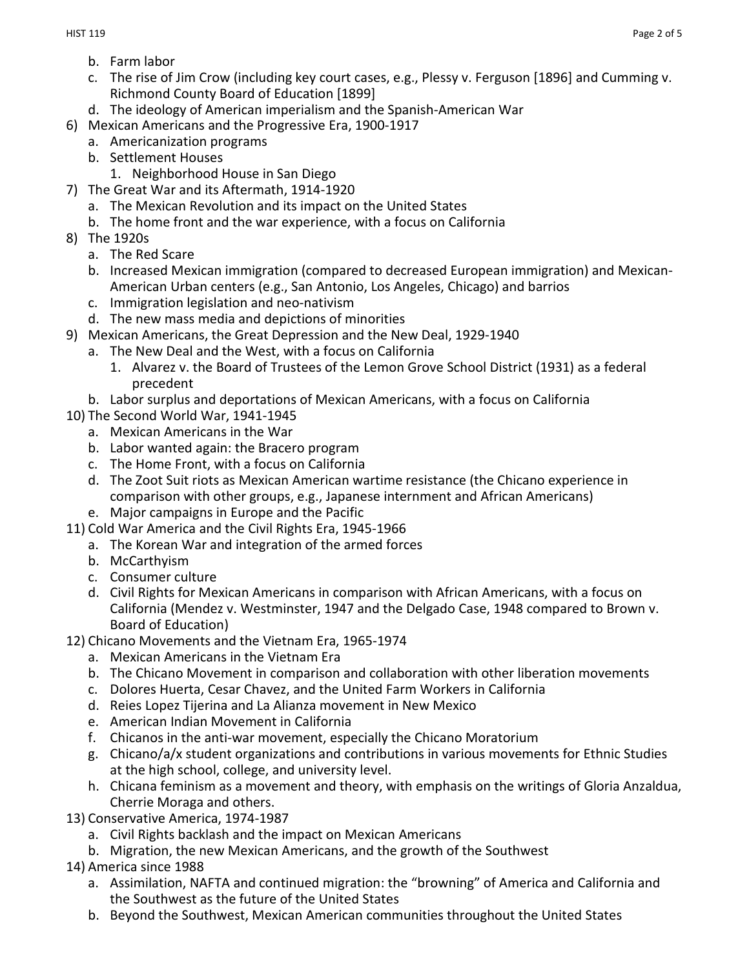- b. Farm labor
- c. The rise of Jim Crow (including key court cases, e.g., Plessy v. Ferguson [1896] and Cumming v. Richmond County Board of Education [1899]
- d. The ideology of American imperialism and the Spanish-American War
- 6) Mexican Americans and the Progressive Era, 1900-1917
	- a. Americanization programs
	- b. Settlement Houses
		- 1. Neighborhood House in San Diego
- 7) The Great War and its Aftermath, 1914-1920
	- a. The Mexican Revolution and its impact on the United States
	- b. The home front and the war experience, with a focus on California
- 8) The 1920s
	- a. The Red Scare
	- b. Increased Mexican immigration (compared to decreased European immigration) and Mexican-American Urban centers (e.g., San Antonio, Los Angeles, Chicago) and barrios
	- c. Immigration legislation and neo-nativism
	- d. The new mass media and depictions of minorities
- 9) Mexican Americans, the Great Depression and the New Deal, 1929-1940
	- a. The New Deal and the West, with a focus on California
		- 1. Alvarez v. the Board of Trustees of the Lemon Grove School District (1931) as a federal precedent
		- b. Labor surplus and deportations of Mexican Americans, with a focus on California
- 10) The Second World War, 1941-1945
	- a. Mexican Americans in the War
	- b. Labor wanted again: the Bracero program
	- c. The Home Front, with a focus on California
	- d. The Zoot Suit riots as Mexican American wartime resistance (the Chicano experience in comparison with other groups, e.g., Japanese internment and African Americans)
	- e. Major campaigns in Europe and the Pacific
- 11) Cold War America and the Civil Rights Era, 1945-1966
	- a. The Korean War and integration of the armed forces
	- b. McCarthyism
	- c. Consumer culture
	- d. Civil Rights for Mexican Americans in comparison with African Americans, with a focus on California (Mendez v. Westminster, 1947 and the Delgado Case, 1948 compared to Brown v. Board of Education)
- 12) Chicano Movements and the Vietnam Era, 1965-1974
	- a. Mexican Americans in the Vietnam Era
	- b. The Chicano Movement in comparison and collaboration with other liberation movements
	- c. Dolores Huerta, Cesar Chavez, and the United Farm Workers in California
	- d. Reies Lopez Tijerina and La Alianza movement in New Mexico
	- e. American Indian Movement in California
	- f. Chicanos in the anti-war movement, especially the Chicano Moratorium
	- g. Chicano/a/x student organizations and contributions in various movements for Ethnic Studies at the high school, college, and university level.
	- h. Chicana feminism as a movement and theory, with emphasis on the writings of Gloria Anzaldua, Cherrie Moraga and others.
- 13) Conservative America, 1974-1987
	- a. Civil Rights backlash and the impact on Mexican Americans
	- b. Migration, the new Mexican Americans, and the growth of the Southwest
- 14) America since 1988
	- a. Assimilation, NAFTA and continued migration: the "browning" of America and California and the Southwest as the future of the United States
	- b. Beyond the Southwest, Mexican American communities throughout the United States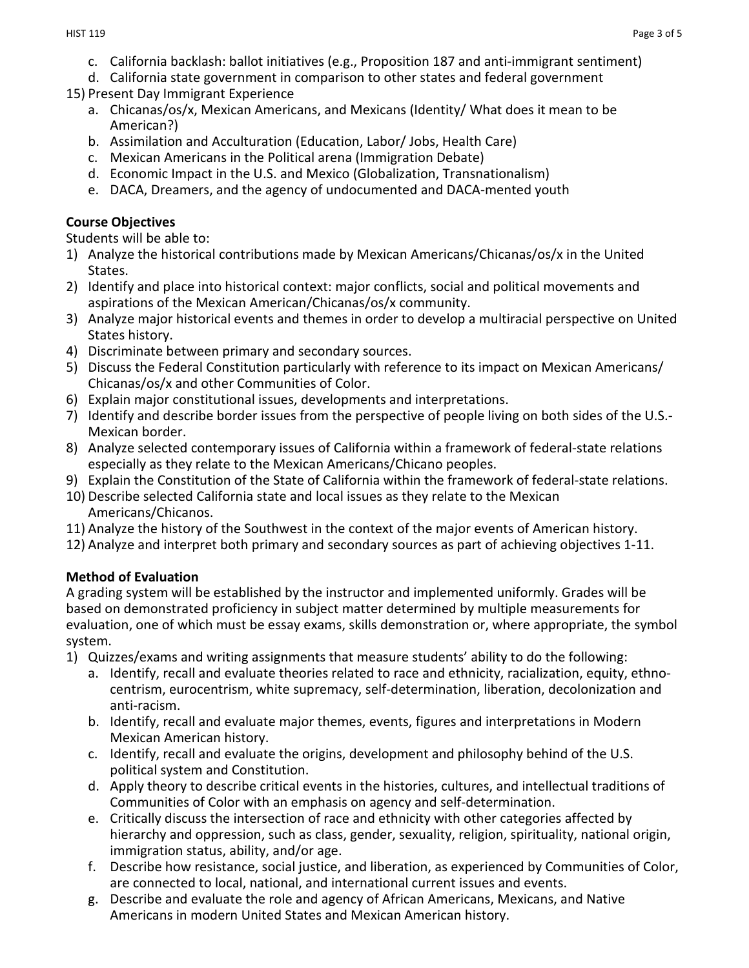- c. California backlash: ballot initiatives (e.g., Proposition 187 and anti-immigrant sentiment)
- d. California state government in comparison to other states and federal government
- 15) Present Day Immigrant Experience
	- a. Chicanas/os/x, Mexican Americans, and Mexicans (Identity/ What does it mean to be American?)
	- b. Assimilation and Acculturation (Education, Labor/ Jobs, Health Care)
	- c. Mexican Americans in the Political arena (Immigration Debate)
	- d. Economic Impact in the U.S. and Mexico (Globalization, Transnationalism)
	- e. DACA, Dreamers, and the agency of undocumented and DACA-mented youth

### **Course Objectives**

Students will be able to:

- 1) Analyze the historical contributions made by Mexican Americans/Chicanas/os/x in the United States.
- 2) Identify and place into historical context: major conflicts, social and political movements and aspirations of the Mexican American/Chicanas/os/x community.
- 3) Analyze major historical events and themes in order to develop a multiracial perspective on United States history.
- 4) Discriminate between primary and secondary sources.
- 5) Discuss the Federal Constitution particularly with reference to its impact on Mexican Americans/ Chicanas/os/x and other Communities of Color.
- 6) Explain major constitutional issues, developments and interpretations.
- 7) Identify and describe border issues from the perspective of people living on both sides of the U.S.- Mexican border.
- 8) Analyze selected contemporary issues of California within a framework of federal-state relations especially as they relate to the Mexican Americans/Chicano peoples.
- 9) Explain the Constitution of the State of California within the framework of federal-state relations.
- 10) Describe selected California state and local issues as they relate to the Mexican Americans/Chicanos.
- 11) Analyze the history of the Southwest in the context of the major events of American history.
- 12) Analyze and interpret both primary and secondary sources as part of achieving objectives 1-11.

# **Method of Evaluation**

A grading system will be established by the instructor and implemented uniformly. Grades will be based on demonstrated proficiency in subject matter determined by multiple measurements for evaluation, one of which must be essay exams, skills demonstration or, where appropriate, the symbol system.

- 1) Quizzes/exams and writing assignments that measure students' ability to do the following:
	- a. Identify, recall and evaluate theories related to race and ethnicity, racialization, equity, ethnocentrism, eurocentrism, white supremacy, self-determination, liberation, decolonization and anti-racism.
	- b. Identify, recall and evaluate major themes, events, figures and interpretations in Modern Mexican American history.
	- c. Identify, recall and evaluate the origins, development and philosophy behind of the U.S. political system and Constitution.
	- d. Apply theory to describe critical events in the histories, cultures, and intellectual traditions of Communities of Color with an emphasis on agency and self-determination.
	- e. Critically discuss the intersection of race and ethnicity with other categories affected by hierarchy and oppression, such as class, gender, sexuality, religion, spirituality, national origin, immigration status, ability, and/or age.
	- f. Describe how resistance, social justice, and liberation, as experienced by Communities of Color, are connected to local, national, and international current issues and events.
	- g. Describe and evaluate the role and agency of African Americans, Mexicans, and Native Americans in modern United States and Mexican American history.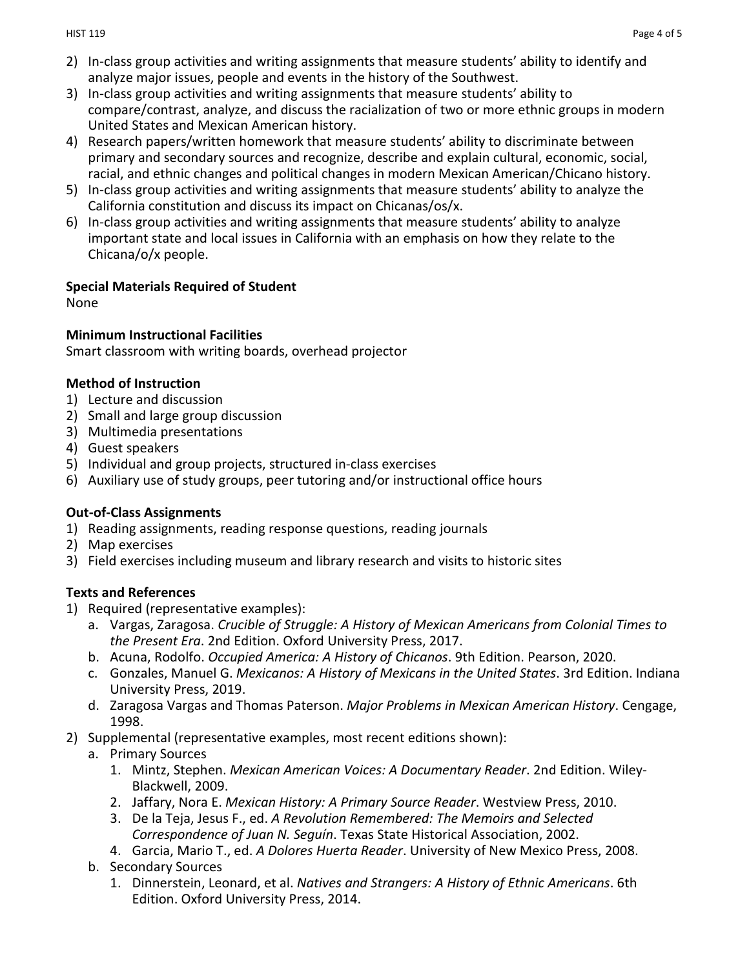- 2) In-class group activities and writing assignments that measure students' ability to identify and analyze major issues, people and events in the history of the Southwest.
- 3) In-class group activities and writing assignments that measure students' ability to compare/contrast, analyze, and discuss the racialization of two or more ethnic groups in modern United States and Mexican American history.
- 4) Research papers/written homework that measure students' ability to discriminate between primary and secondary sources and recognize, describe and explain cultural, economic, social, racial, and ethnic changes and political changes in modern Mexican American/Chicano history.
- 5) In-class group activities and writing assignments that measure students' ability to analyze the California constitution and discuss its impact on Chicanas/os/x.
- 6) In-class group activities and writing assignments that measure students' ability to analyze important state and local issues in California with an emphasis on how they relate to the Chicana/o/x people.

### **Special Materials Required of Student**

None

### **Minimum Instructional Facilities**

Smart classroom with writing boards, overhead projector

## **Method of Instruction**

- 1) Lecture and discussion
- 2) Small and large group discussion
- 3) Multimedia presentations
- 4) Guest speakers
- 5) Individual and group projects, structured in-class exercises
- 6) Auxiliary use of study groups, peer tutoring and/or instructional office hours

# **Out-of-Class Assignments**

- 1) Reading assignments, reading response questions, reading journals
- 2) Map exercises
- 3) Field exercises including museum and library research and visits to historic sites

# **Texts and References**

- 1) Required (representative examples):
	- a. Vargas, Zaragosa. *Crucible of Struggle: A History of Mexican Americans from Colonial Times to the Present Era*. 2nd Edition. Oxford University Press, 2017.
	- b. Acuna, Rodolfo. *Occupied America: A History of Chicanos*. 9th Edition. Pearson, 2020.
	- c. Gonzales, Manuel G. *Mexicanos: A History of Mexicans in the United States*. 3rd Edition. Indiana University Press, 2019.
	- d. Zaragosa Vargas and Thomas Paterson. *Major Problems in Mexican American History*. Cengage, 1998.
- 2) Supplemental (representative examples, most recent editions shown):
	- a. Primary Sources
		- 1. Mintz, Stephen. *Mexican American Voices: A Documentary Reader*. 2nd Edition. Wiley-Blackwell, 2009.
		- 2. Jaffary, Nora E. *Mexican History: A Primary Source Reader*. Westview Press, 2010.
		- 3. De la Teja, Jesus F., ed. *A Revolution Remembered: The Memoirs and Selected Correspondence of Juan N. Seguín*. Texas State Historical Association, 2002.
		- 4. Garcia, Mario T., ed. *A Dolores Huerta Reader*. University of New Mexico Press, 2008.
	- b. Secondary Sources
		- 1. Dinnerstein, Leonard, et al. *Natives and Strangers: A History of Ethnic Americans*. 6th Edition. Oxford University Press, 2014.